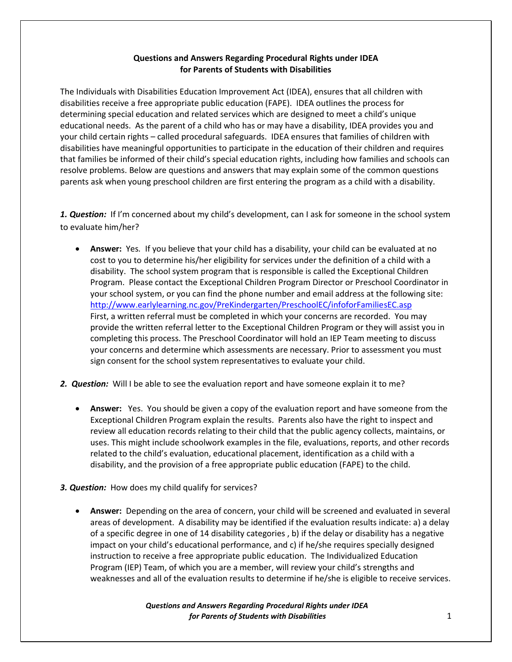# **Questions and Answers Regarding Procedural Rights under IDEA for Parents of Students with Disabilities**

The Individuals with Disabilities Education Improvement Act (IDEA), ensures that all children with disabilities receive a free appropriate public education (FAPE). IDEA outlines the process for determining special education and related services which are designed to meet a child's unique educational needs. As the parent of a child who has or may have a disability, IDEA provides you and your child certain rights – called procedural safeguards. IDEA ensures that families of children with disabilities have meaningful opportunities to participate in the education of their children and requires that families be informed of their child's special education rights, including how families and schools can resolve problems. Below are questions and answers that may explain some of the common questions parents ask when young preschool children are first entering the program as a child with a disability.

*1. Question:* If I'm concerned about my child's development, can I ask for someone in the school system to evaluate him/her?

- **Answer:**Yes*.* If you believe that your child has a disability, your child can be evaluated at no cost to you to determine his/her eligibility for services under the definition of a child with a disability. The school system program that is responsible is called the Exceptional Children Program. Please contact the Exceptional Children Program Director or Preschool Coordinator in your school system, or you can find the phone number and email address at the following site: <http://www.earlylearning.nc.gov/PreKindergarten/PreschoolEC/infoforFamiliesEC.asp> First, a written referral must be completed in which your concerns are recorded. You may provide the written referral letter to the Exceptional Children Program or they will assist you in completing this process. The Preschool Coordinator will hold an IEP Team meeting to discuss your concerns and determine which assessments are necessary. Prior to assessment you must sign consent for the school system representatives to evaluate your child.
- **2. Question:** Will I be able to see the evaluation report and have someone explain it to me?
	- **Answer:** Yes. You should be given a copy of the evaluation report and have someone from the Exceptional Children Program explain the results. Parents also have the right to inspect and review all education records relating to their child that the public agency collects, maintains, or uses. This might include schoolwork examples in the file, evaluations, reports, and other records related to the child's evaluation, educational placement, identification as a child with a disability, and the provision of a free appropriate public education (FAPE) to the child.
- *3. Question:* How does my child qualify for services?
	- **Answer:** Depending on the area of concern, your child will be screened and evaluated in several areas of development. A disability may be identified if the evaluation results indicate: a) a delay of a specific degree in one of 14 disability categories , b) if the delay or disability has a negative impact on your child's educational performance, and c) if he/she requires specially designed instruction to receive a free appropriate public education. The Individualized Education Program (IEP) Team, of which you are a member, will review your child's strengths and weaknesses and all of the evaluation results to determine if he/she is eligible to receive services.

*Questions and Answers Regarding Procedural Rights under IDEA for Parents of Students with Disabilities*1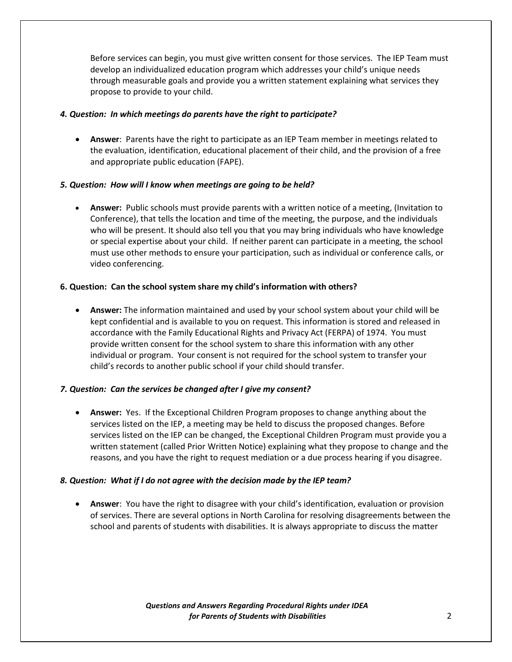Before services can begin, you must give written consent for those services. The IEP Team must develop an individualized education program which addresses your child's unique needs through measurable goals and provide you a written statement explaining what services they propose to provide to your child.

## *4. Question: In which meetings do parents have the right to participate?*

 **Answer**: Parents have the right to participate as an IEP Team member in meetings related to the evaluation, identification, educational placement of their child, and the provision of a free and appropriate public education (FAPE).

# *5. Question: How will I know when meetings are going to be held?*

 **Answer:** Public schools must provide parents with a written notice of a meeting, (Invitation to Conference), that tells the location and time of the meeting, the purpose, and the individuals who will be present. It should also tell you that you may bring individuals who have knowledge or special expertise about your child. If neither parent can participate in a meeting, the school must use other methods to ensure your participation, such as individual or conference calls, or video conferencing.

# **6. Question: Can the school system share my child's information with others?**

 **Answer:** The information maintained and used by your school system about your child will be kept confidential and is available to you on request. This information is stored and released in accordance with the Family Educational Rights and Privacy Act (FERPA) of 1974. You must provide written consent for the school system to share this information with any other individual or program. Your consent is not required for the school system to transfer your child's records to another public school if your child should transfer.

# *7. Question: Can the services be changed after I give my consent?*

 **Answer:** Yes. If the Exceptional Children Program proposes to change anything about the services listed on the IEP, a meeting may be held to discuss the proposed changes. Before services listed on the IEP can be changed, the Exceptional Children Program must provide you a written statement (called Prior Written Notice) explaining what they propose to change and the reasons, and you have the right to request mediation or a due process hearing if you disagree.

# *8. Question: What if I do not agree with the decision made by the IEP team?*

 **Answer**: You have the right to disagree with your child's identification, evaluation or provision of services. There are several options in North Carolina for resolving disagreements between the school and parents of students with disabilities. It is always appropriate to discuss the matter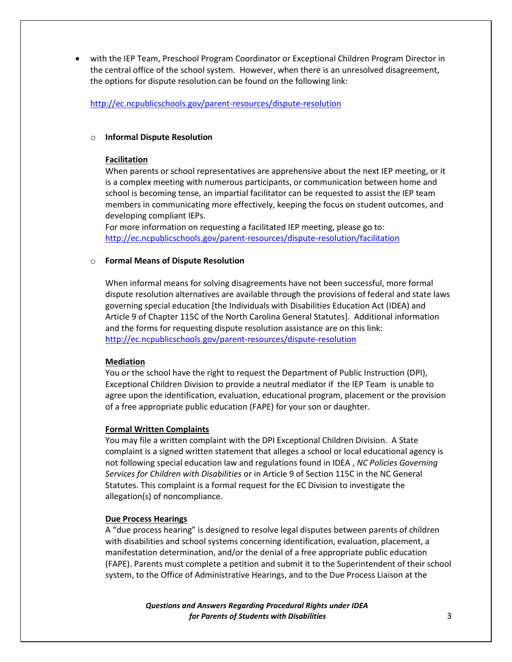with the IEP Team, Preschool Program Coordinator or Exceptional Children Program Director in the central office of the school system. However, when there is an unresolved disagreement, the options for dispute resolution can be found on the following link:

<http://ec.ncpublicschools.gov/parent-resources/dispute-resolution>

## o **Informal Dispute Resolution**

#### **[Facilitation](http://www.ncpublicschools.org/ec/policy/dispute/meeting/)**

When parents or school representatives are apprehensive about the next IEP meeting, or it is a complex meeting with numerous participants, or communication between home and school is becoming tense, an impartial facilitator can be requested to assist the IEP team members in communicating more effectively, keeping the focus on student outcomes, and developing compliant IEPs.

For more information on requesting a facilitated IEP meeting, please go to: <http://ec.ncpublicschools.gov/parent-resources/dispute-resolution/facilitation>

#### o **Formal Means of Dispute Resolution**

When informal means for solving disagreements have not been successful, more formal dispute resolution alternatives are available through the provisions of federal and state laws governing special education [the Individuals with Disabilities Education Act (IDEA) and Article 9 of Chapter 115C of the North Carolina General Statutes]. Additional information and the forms for requesting dispute resolution assistance are on this link: <http://ec.ncpublicschools.gov/parent-resources/dispute-resolution>

## **[Mediation](http://www.ncpublicschools.org/ec/policy/dispute/mediation/)**

You or the school have the right to request the Department of Public Instruction (DPI), Exceptional Children Division to provide a neutral mediator if the IEP Team is unable to agree upon the identification, evaluation, educational program, placement or the provision of a free appropriate public education (FAPE) for your son or daughter.

#### **[Formal Written Complaints](http://www.ncpublicschools.org/ec/policy/dispute/complaints/)**

You may file a written complaint with the DPI Exceptional Children Division. A State complaint is a signed written statement that alleges a school or local educational agency is not following special education law and regulations found in IDEA , *NC Policies Governing Services for Children with Disabilities* or in Article 9 of Section 115C in the NC General Statutes. This complaint is a formal request for the EC Division to investigate the allegation(s) of noncompliance.

## **[Due Process Hearings](http://www.ncpublicschools.org/ec/policy/dispute/dueprocess/)**

A "due process hearing" is designed to resolve legal disputes between parents of children with disabilities and school systems concerning identification, evaluation, placement, a manifestation determination, and/or the denial of a free appropriate public education (FAPE). Parents must complete a petition and submit it to the Superintendent of their school system, to the Office of Administrative Hearings, and to the Due Process Liaison at the

> *Questions and Answers Regarding Procedural Rights under IDEA for Parents of Students with Disabilities*3